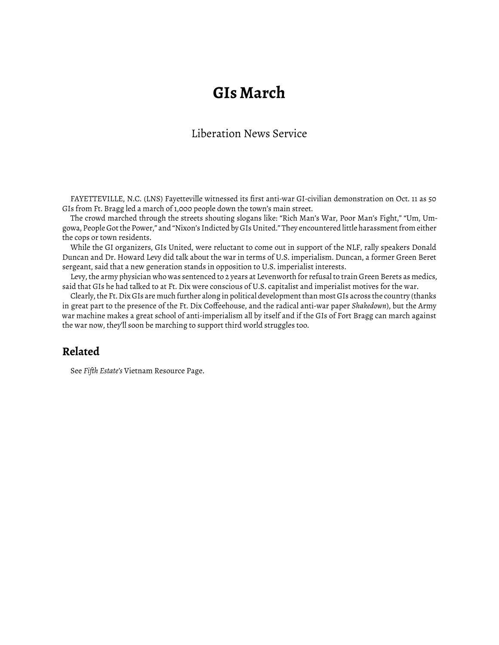## **GIs March**

## Liberation News Service

FAYETTEVILLE, N.C. (LNS) Fayetteville witnessed its first anti-war GI-civilian demonstration on Oct. 11 as 50 GIs from Ft. Bragg led a march of 1,000 people down the town's main street.

The crowd marched through the streets shouting slogans like: "Rich Man's War, Poor Man's Fight," "Um, Umgowa, People Got the Power," and "Nixon's Indicted by GIs United." They encountered little harassment from either the cops or town residents.

While the GI organizers, GIs United, were reluctant to come out in support of the NLF, rally speakers Donald Duncan and Dr. Howard Levy did talk about the war in terms of U.S. imperialism. Duncan, a former Green Beret sergeant, said that a new generation stands in opposition to U.S. imperialist interests.

Levy, the army physician who was sentenced to 2 years at Levenworth for refusal to train Green Berets as medics, said that GIs he had talked to at Ft. Dix were conscious of U.S. capitalist and imperialist motives for the war.

Clearly, the Ft. Dix GIs are much further along in political development than most GIs across the country (thanks in great part to the presence of the Ft. Dix Coffeehouse, and the radical anti-war paper *Shakedown*), but the Army war machine makes a great school of anti-imperialism all by itself and if the GIs of Fort Bragg can march against the war now, they'll soon be marching to support third world struggles too.

## **Related**

See *Fiǡth Estate's* [Vietnam Resource Page.](http://www.fifthestate.org/archive/vietnam-resource-page/)